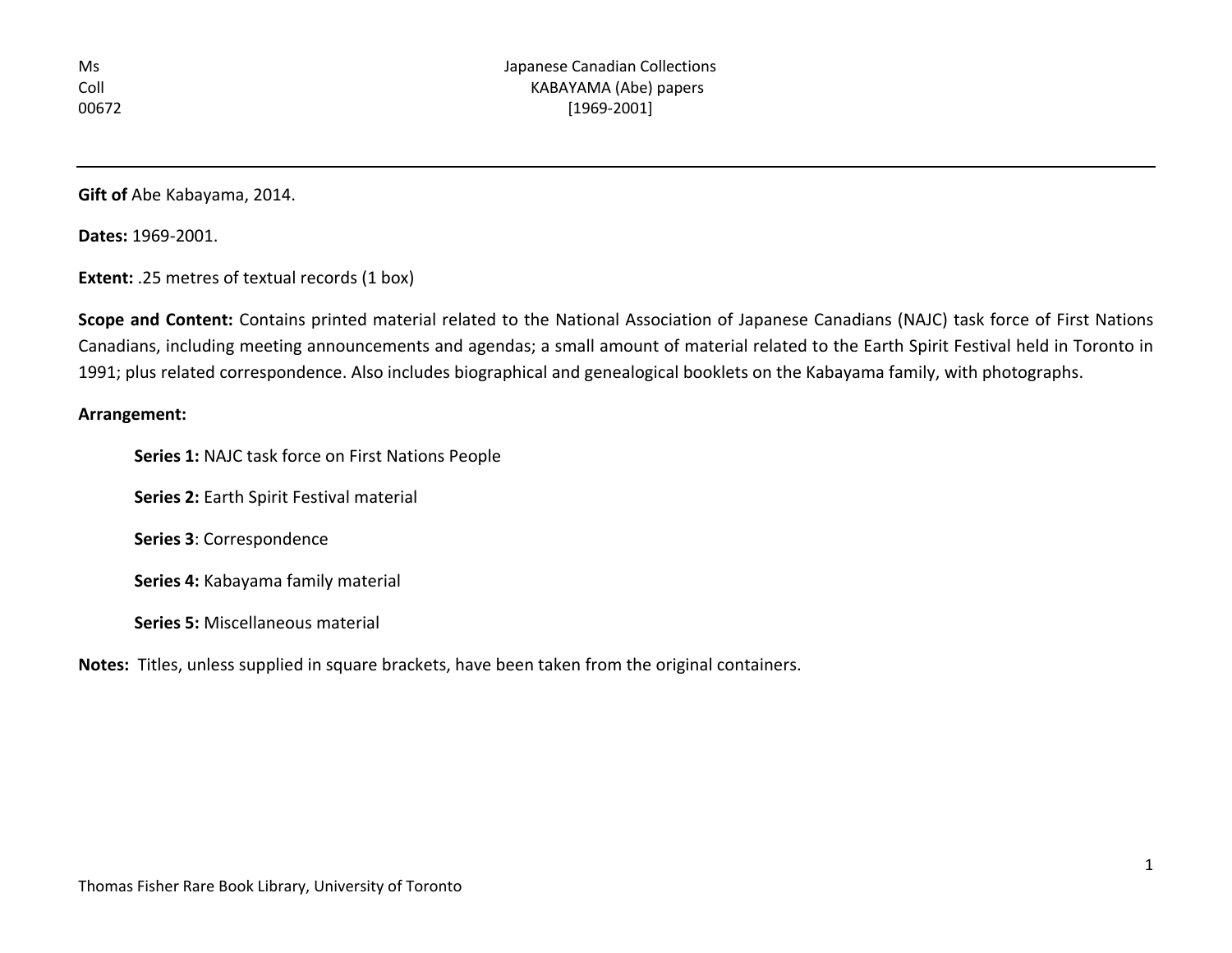**Gift of** Abe Kabayama, 2014.

**Dates:** 1969-2001.

**Extent:** .25 metres of textual records (1 box)

**Scope and Content:** Contains printed material related to the National Association of Japanese Canadians (NAJC) task force of First Nations Canadians, including meeting announcements and agendas; a small amount of material related to the Earth Spirit Festival held in Toronto in 1991; plus related correspondence. Also includes biographical and genealogical booklets on the Kabayama family, with photographs.

## **Arrangement:**

**Series 1:** NAJC task force on First Nations People

**Series 2:** Earth Spirit Festival material

**Series 3**: Correspondence

**Series 4:** Kabayama family material

**Series 5:** Miscellaneous material

**Notes:** Titles, unless supplied in square brackets, have been taken from the original containers.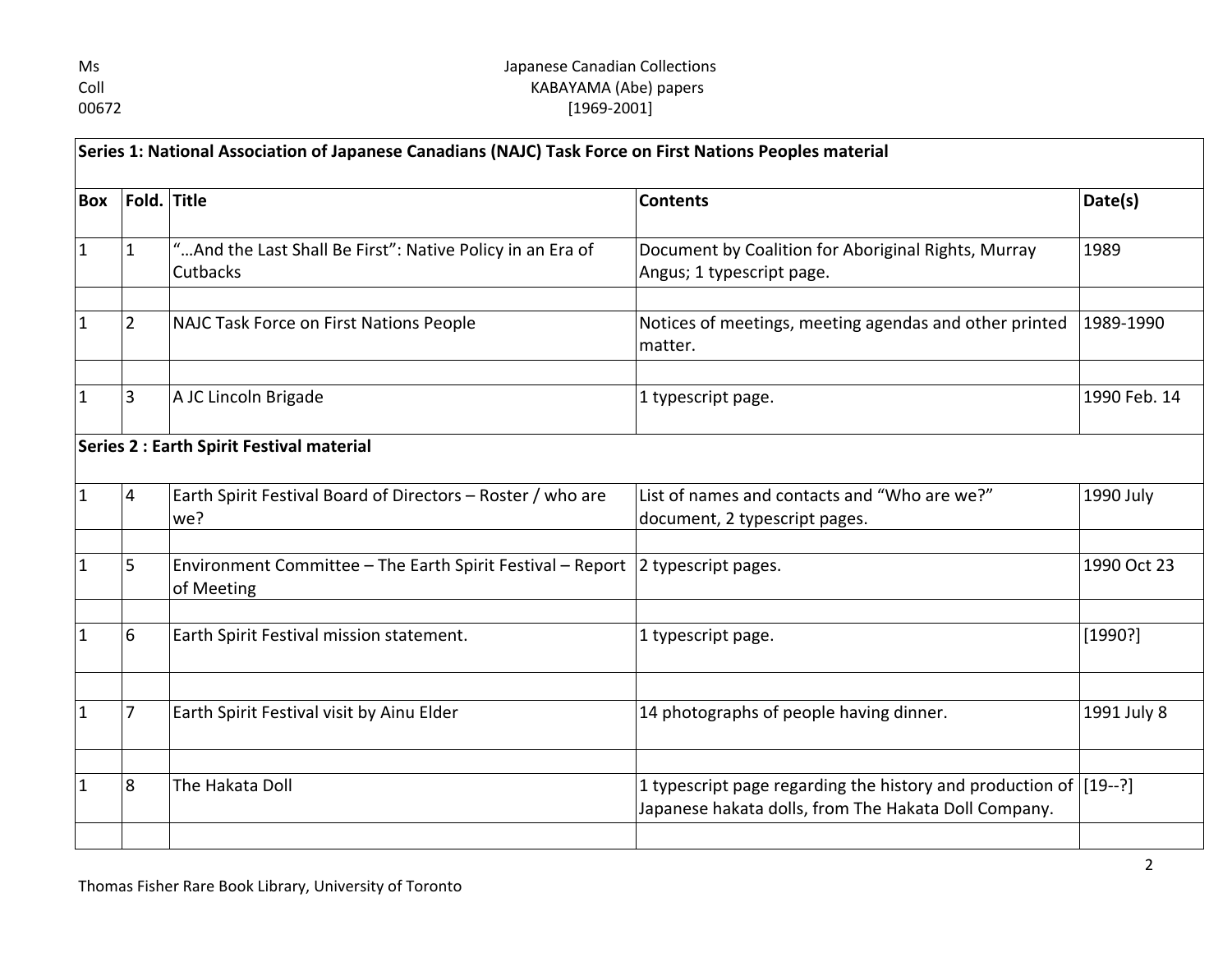| Ms   |
|------|
| Coll |
| 0067 |

## Japanese Canadian Collections KABAYAMA (Abe) papers 72 [1969-2001]

| Series 1: National Association of Japanese Canadians (NAJC) Task Force on First Nations Peoples material |                |                                                                                              |                                                                                  |              |
|----------------------------------------------------------------------------------------------------------|----------------|----------------------------------------------------------------------------------------------|----------------------------------------------------------------------------------|--------------|
| <b>Box</b>                                                                                               |                | Fold. Title                                                                                  | <b>Contents</b>                                                                  | Date(s)      |
| $\mathbf{1}$                                                                                             | $\mathbf{1}$   | " And the Last Shall Be First": Native Policy in an Era of<br>Cutbacks                       | Document by Coalition for Aboriginal Rights, Murray<br>Angus; 1 typescript page. | 1989         |
| $\mathbf{1}$                                                                                             | $ 2\rangle$    | NAJC Task Force on First Nations People                                                      | Notices of meetings, meeting agendas and other printed<br>matter.                | 1989-1990    |
| $\mathbf{1}$                                                                                             | 3              | A JC Lincoln Brigade                                                                         | 1 typescript page.                                                               | 1990 Feb. 14 |
|                                                                                                          |                | Series 2 : Earth Spirit Festival material                                                    |                                                                                  |              |
| $\mathbf{1}$                                                                                             | $\overline{4}$ | Earth Spirit Festival Board of Directors - Roster / who are<br>we?                           | List of names and contacts and "Who are we?"<br>document, 2 typescript pages.    | 1990 July    |
| $\mathbf{1}$                                                                                             | 5              | Environment Committee - The Earth Spirit Festival - Report 2 typescript pages.<br>of Meeting |                                                                                  | 1990 Oct 23  |
| 1                                                                                                        | 6              | Earth Spirit Festival mission statement.                                                     | 1 typescript page.                                                               | [1990?]      |
| $\mathbf{1}$                                                                                             | $\overline{7}$ | Earth Spirit Festival visit by Ainu Elder                                                    | 14 photographs of people having dinner.                                          | 1991 July 8  |
| $\mathbf{1}$                                                                                             | 8              | The Hakata Doll                                                                              | 1 typescript page regarding the history and production of $[19-$ -?]             |              |
|                                                                                                          |                |                                                                                              | Japanese hakata dolls, from The Hakata Doll Company.                             |              |
|                                                                                                          |                |                                                                                              |                                                                                  |              |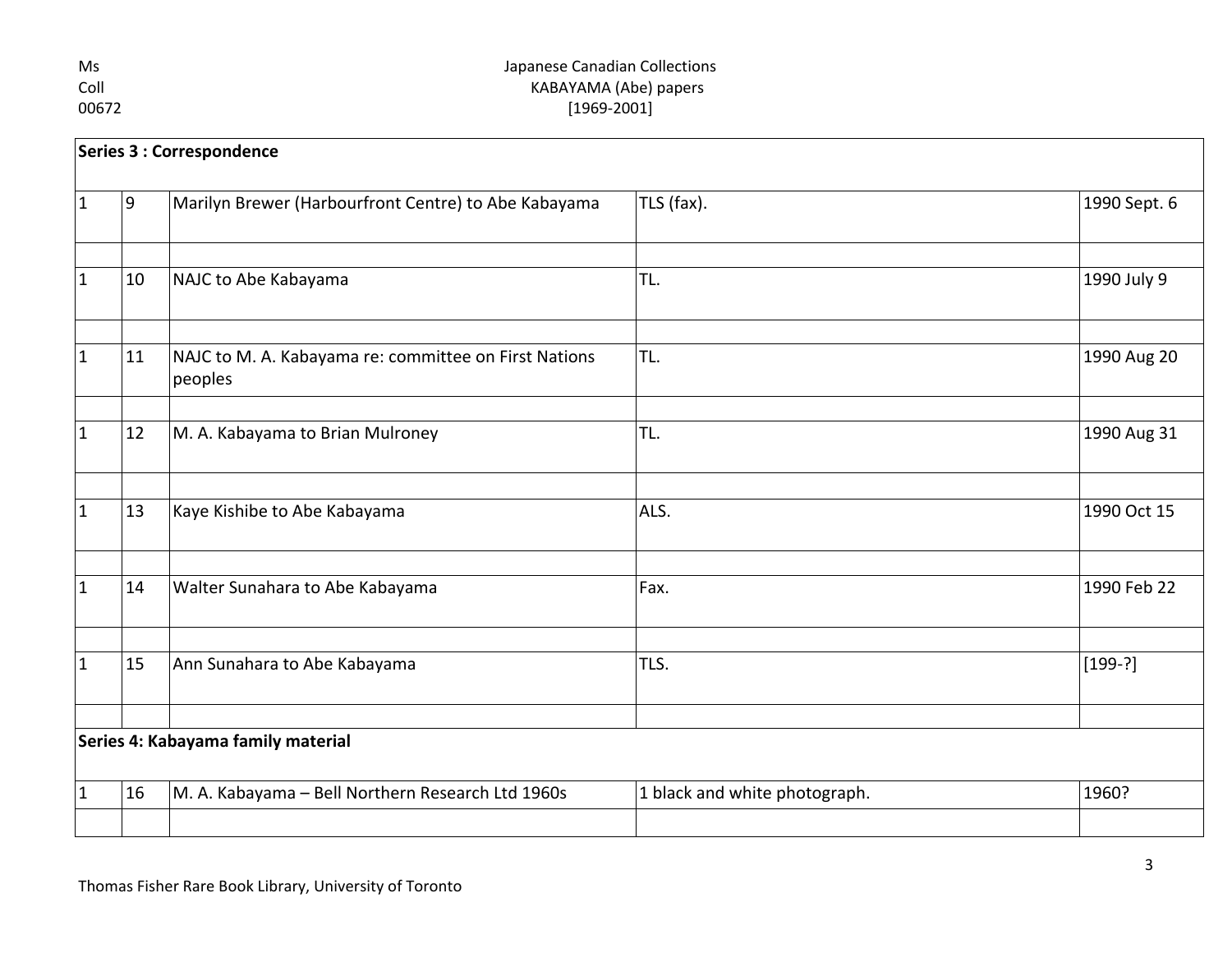## Ms Japanese Canadian Collections<br>Coll Gold Collections<br>Coll Coll Collections KABAYAMA (Abe) papers 00672 [1969-2001]

| Series 3 : Correspondence          |                |                                                                  |                               |              |
|------------------------------------|----------------|------------------------------------------------------------------|-------------------------------|--------------|
| $\vert$ 1                          | $\overline{9}$ | Marilyn Brewer (Harbourfront Centre) to Abe Kabayama             | TLS (fax).                    | 1990 Sept. 6 |
|                                    |                |                                                                  |                               |              |
| $ 1\rangle$                        | 10             | NAJC to Abe Kabayama                                             | TL.                           | 1990 July 9  |
|                                    |                |                                                                  |                               |              |
| $\vert$ 1                          | 11             | NAJC to M. A. Kabayama re: committee on First Nations<br>peoples | TL.                           | 1990 Aug 20  |
|                                    |                |                                                                  |                               |              |
| $\vert$ 1                          | 12             | M. A. Kabayama to Brian Mulroney                                 | TL.                           | 1990 Aug 31  |
|                                    |                |                                                                  |                               |              |
| $\vert$ 1                          | 13             | Kaye Kishibe to Abe Kabayama                                     | ALS.                          | 1990 Oct 15  |
|                                    |                |                                                                  |                               |              |
| $\vert$ 1                          | 14             | Walter Sunahara to Abe Kabayama                                  | Fax.                          | 1990 Feb 22  |
|                                    |                |                                                                  |                               |              |
| $ 1\rangle$                        | 15             | Ann Sunahara to Abe Kabayama                                     | TLS.                          | $[199-?]$    |
|                                    |                |                                                                  |                               |              |
| Series 4: Kabayama family material |                |                                                                  |                               |              |
| $ 1\rangle$                        | 16             | M. A. Kabayama - Bell Northern Research Ltd 1960s                | 1 black and white photograph. | 1960?        |
|                                    |                |                                                                  |                               |              |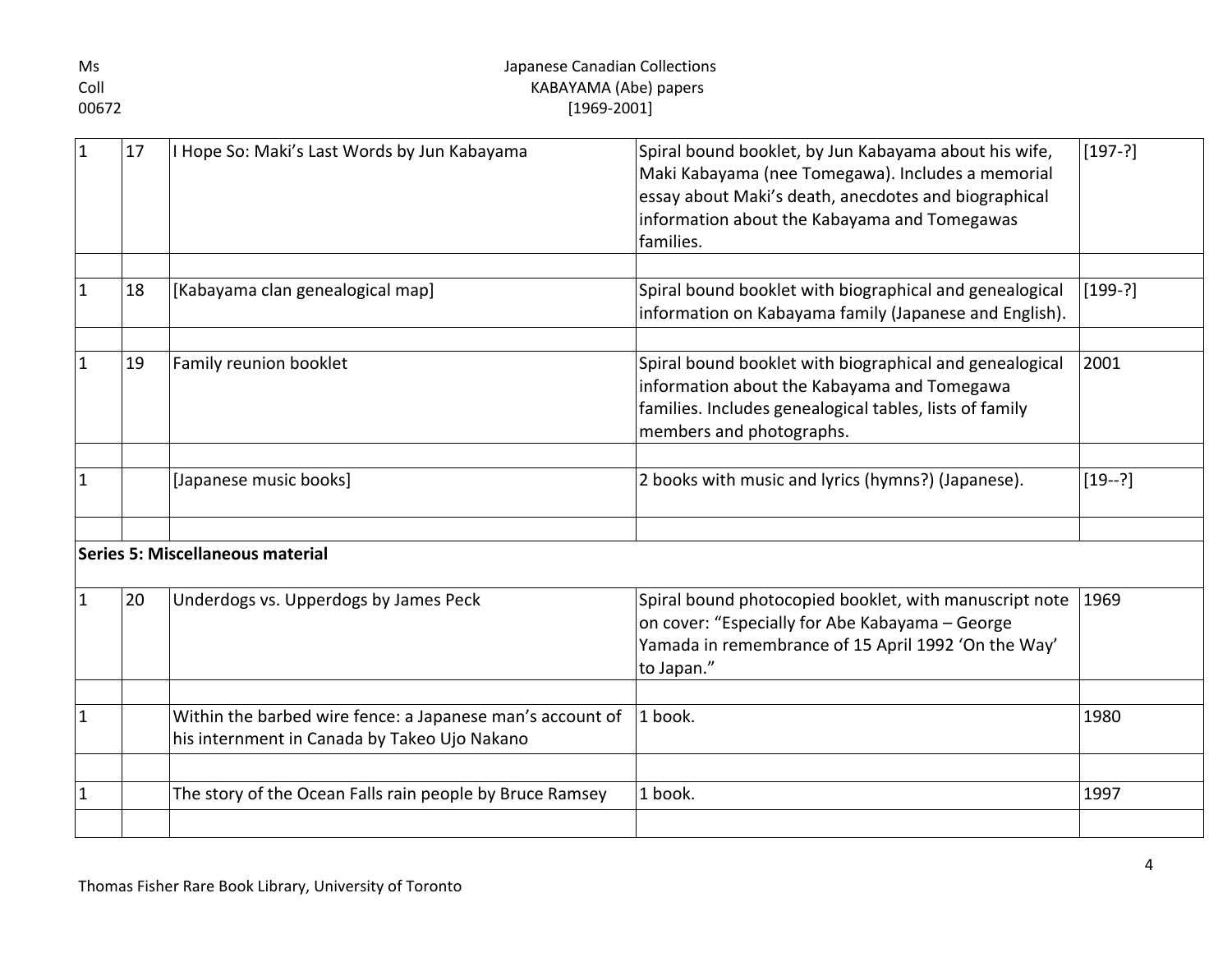| Ms            | Japanese Canadian Collections |                                                                                                           |                                                                                                                                                                                                                                 |             |  |
|---------------|-------------------------------|-----------------------------------------------------------------------------------------------------------|---------------------------------------------------------------------------------------------------------------------------------------------------------------------------------------------------------------------------------|-------------|--|
| Coll<br>00672 |                               | KABAYAMA (Abe) papers                                                                                     |                                                                                                                                                                                                                                 |             |  |
|               |                               | $[1969-2001]$                                                                                             |                                                                                                                                                                                                                                 |             |  |
|               | 17                            | I Hope So: Maki's Last Words by Jun Kabayama                                                              | Spiral bound booklet, by Jun Kabayama about his wife,<br>Maki Kabayama (nee Tomegawa). Includes a memorial<br>essay about Maki's death, anecdotes and biographical<br>information about the Kabayama and Tomegawas<br>families. | $[197 - ?]$ |  |
| $\vert$ 1     | 18                            | [Kabayama clan genealogical map]                                                                          | Spiral bound booklet with biographical and genealogical<br>information on Kabayama family (Japanese and English).                                                                                                               | $[199-?]$   |  |
| 1             | 19                            | Family reunion booklet                                                                                    | Spiral bound booklet with biographical and genealogical<br>information about the Kabayama and Tomegawa<br>families. Includes genealogical tables, lists of family<br>members and photographs.                                   | 2001        |  |
| 1             |                               | [Japanese music books]                                                                                    | 2 books with music and lyrics (hymns?) (Japanese).                                                                                                                                                                              | $[19-?]$    |  |
|               |                               | Series 5: Miscellaneous material                                                                          |                                                                                                                                                                                                                                 |             |  |
| $\mathbf{1}$  | 20                            | Underdogs vs. Upperdogs by James Peck                                                                     | Spiral bound photocopied booklet, with manuscript note<br>on cover: "Especially for Abe Kabayama - George<br>Yamada in remembrance of 15 April 1992 'On the Way'<br>to Japan."                                                  | 1969        |  |
| $\mathbf{1}$  |                               | Within the barbed wire fence: a Japanese man's account of<br>his internment in Canada by Takeo Ujo Nakano | 1 book.                                                                                                                                                                                                                         | 1980        |  |
| $\mathbf{1}$  |                               | The story of the Ocean Falls rain people by Bruce Ramsey                                                  | 1 book.                                                                                                                                                                                                                         | 1997        |  |
|               |                               |                                                                                                           |                                                                                                                                                                                                                                 |             |  |